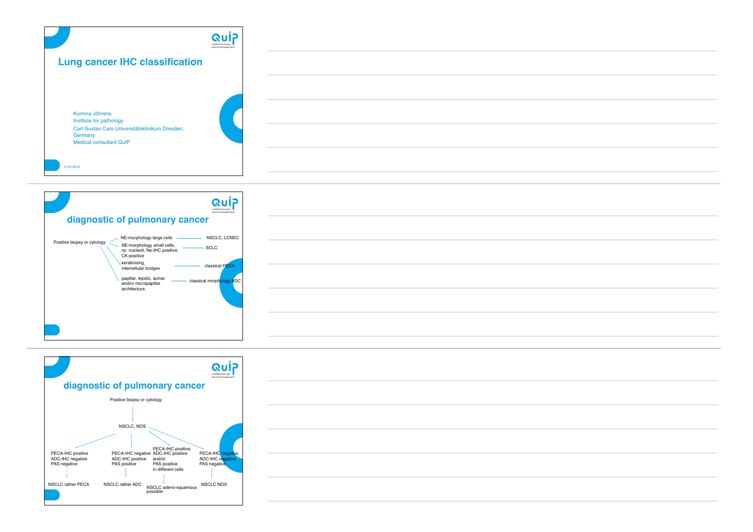|                                                                                              | $\mathbf{G}$<br>Qualitätssicherungs-<br>Initiative Pathologia Criter |  |
|----------------------------------------------------------------------------------------------|----------------------------------------------------------------------|--|
| <b>Lung cancer IHC classification</b>                                                        |                                                                      |  |
|                                                                                              |                                                                      |  |
| Korinna Jöhrens<br>Institute for pathology<br>Carl Gustav Cars Universitätsklinikum Dresden, |                                                                      |  |
| Germany<br><b>Medical consultant QuIP</b>                                                    |                                                                      |  |
| 11.05.2018                                                                                   |                                                                      |  |





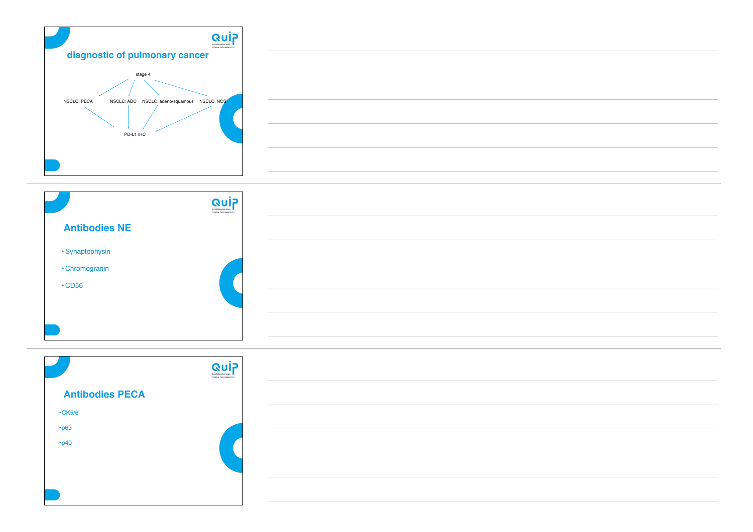